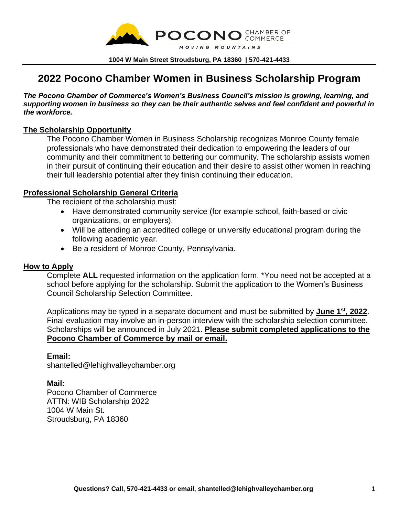

**1004 W Main Street Stroudsburg, PA 18360 | 570-421-4433**

# **2022 Pocono Chamber Women in Business Scholarship Program**

*The Pocono Chamber of Commerce's Women's Business Council's mission is growing, learning, and supporting women in business so they can be their authentic selves and feel confident and powerful in the workforce.*

#### **The Scholarship Opportunity**

The Pocono Chamber Women in Business Scholarship recognizes Monroe County female professionals who have demonstrated their dedication to empowering the leaders of our community and their commitment to bettering our community. The scholarship assists women in their pursuit of continuing their education and their desire to assist other women in reaching their full leadership potential after they finish continuing their education.

### **Professional Scholarship General Criteria**

The recipient of the scholarship must:

- Have demonstrated community service (for example school, faith-based or civic organizations, or employers).
- Will be attending an accredited college or university educational program during the following academic year.
- Be a resident of Monroe County, Pennsylvania.

#### **How to Apply**

Complete **ALL** requested information on the application form. \*You need not be accepted at a school before applying for the scholarship. Submit the application to the Women's Business Council Scholarship Selection Committee.

Applications may be typed in a separate document and must be submitted by **June 1 st, 2022**. Final evaluation may involve an in-person interview with the scholarship selection committee. Scholarships will be announced in July 2021. **Please submit completed applications to the Pocono Chamber of Commerce by mail or email.**

#### **Email:**

shantelled@lehighvalleychamber.org

#### **Mail:**

Pocono Chamber of Commerce ATTN: WIB Scholarship 2022 1004 W Main St. Stroudsburg, PA 18360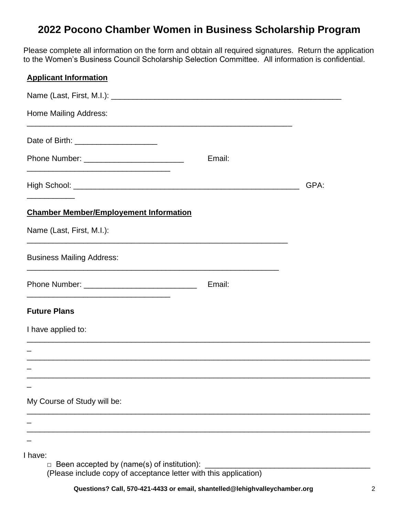# **2022 Pocono Chamber Women in Business Scholarship Program**

Please complete all information on the form and obtain all required signatures. Return the application to the Women's Business Council Scholarship Selection Committee. All information is confidential.

## **Applicant Information**

| <b>Home Mailing Address:</b>                                            |        |      |
|-------------------------------------------------------------------------|--------|------|
| Date of Birth: ______________________                                   |        |      |
|                                                                         | Email: |      |
|                                                                         |        | GPA: |
| <b>Chamber Member/Employement Information</b>                           |        |      |
| Name (Last, First, M.I.):                                               |        |      |
| <b>Business Mailing Address:</b>                                        |        |      |
|                                                                         | Email: |      |
| <b>Future Plans</b>                                                     |        |      |
| I have applied to:                                                      |        |      |
|                                                                         |        |      |
|                                                                         |        |      |
|                                                                         |        |      |
| My Course of Study will be:                                             |        |      |
|                                                                         |        |      |
|                                                                         |        |      |
| I have:<br>Been accepted by (name(s) of institution): _______<br>$\Box$ |        |      |

(Please include copy of acceptance letter with this application)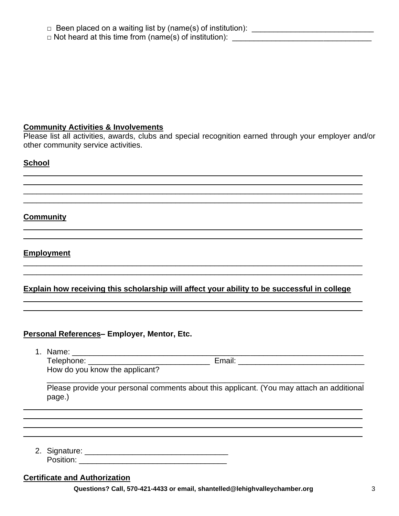### **Community Activities & Involvements**

Please list all activities, awards, clubs and special recognition earned through your employer and/or other community service activities.

## **School**

## **Community**

**Employment** 

## Explain how receiving this scholarship will affect your ability to be successful in college

## Personal References-Employer, Mentor, Etc.

How do you know the applicant?

Please provide your personal comments about this applicant. (You may attach an additional page.)

Position: The contract of the contract of the contract of the contract of the contract of the contract of the contract of the contract of the contract of the contract of the contract of the contract of the contract of the

## **Certificate and Authorization**

Questions? Call, 570-421-4433 or email, shantelled@lehighvalleychamber.org